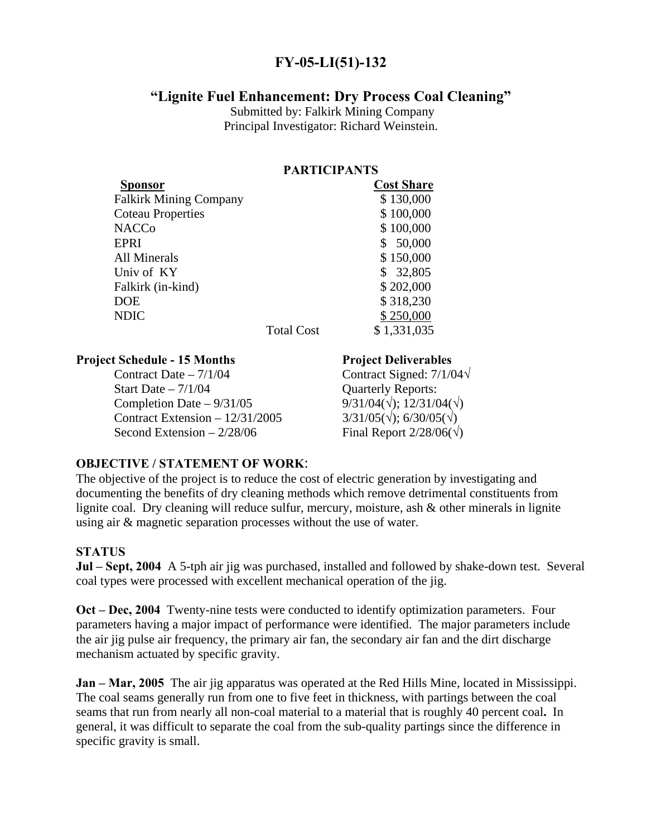# **FY-05-LI(51)-132**

# **"Lignite Fuel Enhancement: Dry Process Coal Cleaning"**

 Submitted by: Falkirk Mining Company Principal Investigator: Richard Weinstein.

### **PARTICIPANTS**

| Sponsor                       |                   | <b>Cost Share</b> |
|-------------------------------|-------------------|-------------------|
| <b>Falkirk Mining Company</b> |                   | \$130,000         |
| <b>Coteau Properties</b>      |                   | \$100,000         |
| <b>NACCo</b>                  |                   | \$100,000         |
| <b>EPRI</b>                   |                   | 50,000            |
| <b>All Minerals</b>           |                   | \$150,000         |
| Univ of KY                    |                   | 32,805            |
| Falkirk (in-kind)             |                   | \$202,000         |
| <b>DOE</b>                    |                   | \$318,230         |
| <b>NDIC</b>                   |                   | \$250,000         |
|                               | <b>Total Cost</b> | \$1,331,035       |

#### **Project Schedule - 15 Months Project Deliverables**

Contract Date – 7/1/04 Contract Signed: 7/1/04**√** Start Date – 7/1/04 <br>
Completion Date – 9/31/05 <br>  $9/31/04(\sqrt)$ : 12/31/04( $\sqrt$ ) Completion Date  $-9/31/05$ Contract Extension –  $12/31/2005$  3/31/05( $\sqrt{$ ); 6/30/05( $\sqrt{}$ ) Second Extension –  $2/28/06$  Final Report  $2/28/06(\sqrt{})$ 

#### **OBJECTIVE / STATEMENT OF WORK**:

The objective of the project is to reduce the cost of electric generation by investigating and documenting the benefits of dry cleaning methods which remove detrimental constituents from lignite coal. Dry cleaning will reduce sulfur, mercury, moisture, ash & other minerals in lignite using air & magnetic separation processes without the use of water.

## **STATUS**

**Jul – Sept, 2004** A 5-tph air jig was purchased, installed and followed by shake-down test. Several coal types were processed with excellent mechanical operation of the jig.

**Oct – Dec, 2004** Twenty-nine tests were conducted to identify optimization parameters. Four parameters having a major impact of performance were identified. The major parameters include the air jig pulse air frequency, the primary air fan, the secondary air fan and the dirt discharge mechanism actuated by specific gravity.

**Jan – Mar, 2005** The air jig apparatus was operated at the Red Hills Mine, located in Mississippi. The coal seams generally run from one to five feet in thickness, with partings between the coal seams that run from nearly all non-coal material to a material that is roughly 40 percent coal**.** In general, it was difficult to separate the coal from the sub-quality partings since the difference in specific gravity is small.